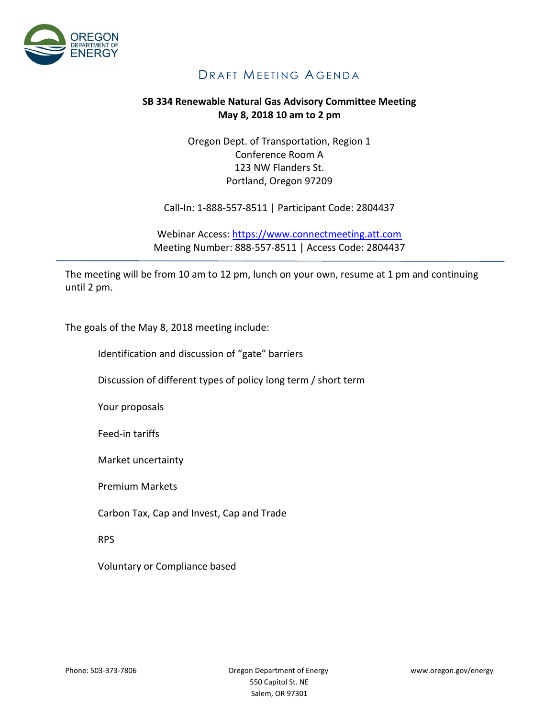

## DRAFT MEETING AGENDA

## **SB 334 Renewable Natural Gas Advisory Committee Meeting May 8, 2018 10 am to 2 pm**

Oregon Dept. of Transportation, Region 1 Conference Room A 123 NW Flanders St. Portland, Oregon 97209

Call-In: 1-888-557-8511 | Participant Code: 2804437

Webinar Access: [https://www.connectmeeting.att.com](https://www.connectmeeting.att.com/) Meeting Number: 888-557-8511 | Access Code: 2804437

The meeting will be from 10 am to 12 pm, lunch on your own, resume at 1 pm and continuing until 2 pm.

The goals of the May 8, 2018 meeting include:

Identification and discussion of "gate" barriers

Discussion of different types of policy long term / short term

Your proposals

Feed-in tariffs

Market uncertainty

Premium Markets

Carbon Tax, Cap and Invest, Cap and Trade

RPS

Voluntary or Compliance based